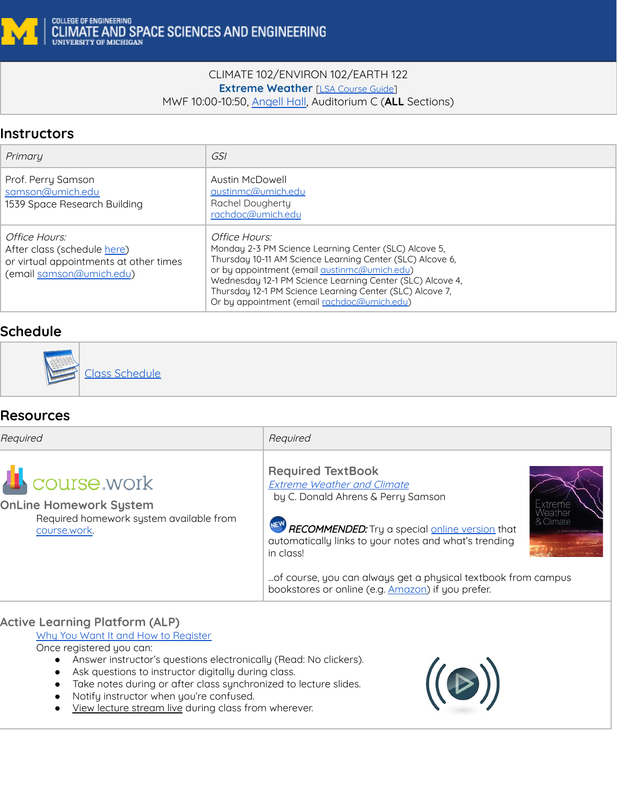

#### CLIMATE 102/ENVIRON 102/EARTH 122 **Extreme Weather** [\[LSA Course Guide\]](https://www.lsa.umich.edu/cg/cg_detail.aspx?content=2210CLIMATE102001&termArray=f_18_2210) MWF 10:00-10:50, [Angell Hall](https://campusinfo.umich.edu/building-search/building/12/angell-hall-auditoriums), Auditorium C (**ALL** Sections)

## **Instructors**

| Primary                                                                                                            | <i>GSI</i>                                                                                                                                                                                                                                                                                                                                                  |
|--------------------------------------------------------------------------------------------------------------------|-------------------------------------------------------------------------------------------------------------------------------------------------------------------------------------------------------------------------------------------------------------------------------------------------------------------------------------------------------------|
| Prof. Perry Samson<br>samson@umich.edu<br>1539 Space Research Building                                             | Austin McDowell<br>austinmc@umich.edu<br>Rachel Dougherty<br>rachdoc@umich.edu                                                                                                                                                                                                                                                                              |
| Office Hours:<br>After class (schedule here)<br>or virtual appointments at other times<br>(email samson@umich.edu) | Office Hours:<br>Monday 2-3 PM Science Learning Center (SLC) Alcove 5.<br>Thursday 10-11 AM Science Learning Center (SLC) Alcove 6,<br>or by appointment (email austinmc@umich.edu)<br>Wednesday 12-1 PM Science Learning Center (SLC) Alcove 4,<br>Thursday 12-1 PM Science Learning Center (SLC) Alcove 7,<br>Or by appointment (email rachdoc@umich.edu) |

# **Schedule**



## **Resources**

| Required                                                                                                         | Required                                                                                                                                                                                                                                                                                                                                                               |
|------------------------------------------------------------------------------------------------------------------|------------------------------------------------------------------------------------------------------------------------------------------------------------------------------------------------------------------------------------------------------------------------------------------------------------------------------------------------------------------------|
| <b>L</b> course work<br><b>OnLine Homework System</b><br>Required homework system available from<br>course.work. | <b>Required TextBook</b><br><b>Extreme Weather and Climate</b><br>by C. Donald Ahrens & Perry Samson<br>& Climate<br>RECOMMENDED: Try a special <u>online version</u> that<br>automatically links to your notes and what's trending<br>in class!<br>of course, you can always get a physical textbook from campus<br>bookstores or online (e.g. Amazon) if you prefer. |

### **Active Learning Platform (ALP)**

[Why You Want It and How to Register](https://docs.google.com/document/d/1Z9VrIm6tTNue5lwvTlEl4yugzeCmFwgazIx5XaeESeI/edit?usp=sharing)

Once registered you can:

- Answer instructor's questions electronically (Read: No clickers).
- Ask questions to instructor digitally during class.
- Take notes during or after class synchronized to lecture slides.
- Notify instructor when you're confused.
- View lecture stream live during class from wherever.

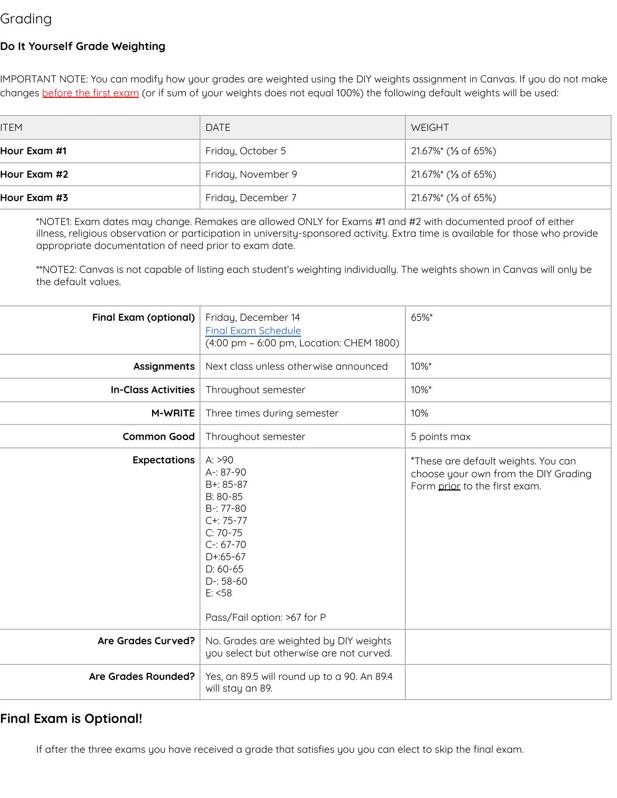# Grading

#### **Do It Yourself Grade Weighting**

IMPORTANT NOTE: You can modify how your grades are weighted using the DIY weights assignment in Canvas. If you do not make changes before the first exam (or if sum of your weights does not equal 100%) the following default weights will be used:

| <b>ITEM</b>  | <b>DATE</b>        | WEIGHT                           |
|--------------|--------------------|----------------------------------|
| Hour Exam #1 | Friday, October 5  | 21.67%* (1/ <sub>3</sub> of 65%) |
| Hour Exam #2 | Friday, November 9 | 21.67%* (1/ <sub>3</sub> of 65%) |
| Hour Exam #3 | Friday, December 7 | 21.67%* (1/ <sub>3</sub> of 65%) |

\*NOTE1: Exam dates may change. Remakes are allowed ONLY for Exams #1 and #2 with documented proof of either illness, religious observation or participation in university-sponsored activity. Extra time is available for those who provide appropriate documentation of need prior to exam date.

\*\*NOTE2: Canvas is not capable of listing each student's weighting individually. The weights shown in Canvas will only be the default values.

| <b>Final Exam (optional)</b> | Friday, December 14<br><b>Final Exam Schedule</b><br>(4:00 pm - 6:00 pm, Location: CHEM 1800)                                                                                             | 65%*                                                                                                         |
|------------------------------|-------------------------------------------------------------------------------------------------------------------------------------------------------------------------------------------|--------------------------------------------------------------------------------------------------------------|
| <b>Assignments</b>           | Next class unless otherwise announced                                                                                                                                                     | 10%*                                                                                                         |
| <b>In-Class Activities</b>   | Throughout semester                                                                                                                                                                       | 10%*                                                                                                         |
| <b>M-WRITE</b>               | Three times during semester                                                                                                                                                               | 10%                                                                                                          |
| <b>Common Good</b>           | Throughout semester                                                                                                                                                                       | 5 points max                                                                                                 |
| <b>Expectations</b>          | A: >90<br>A-: 87-90<br>B+: 85-87<br>B: 80-85<br>$B-77-80$<br>$C + 75 - 77$<br>$C: 70-75$<br>$C-167-70$<br>$D+65-67$<br>$D: 60-65$<br>$D-: 58-60$<br>E: <58<br>Pass/Fail option: >67 for P | *These are default weights. You can<br>choose your own from the DIY Grading<br>Form prior to the first exam. |
| Are Grades Curved?           | No. Grades are weighted by DIY weights<br>you select but otherwise are not curved.                                                                                                        |                                                                                                              |
| Are Grades Rounded?          | Yes, an 89.5 will round up to a 90. An 89.4<br>will stay an 89.                                                                                                                           |                                                                                                              |

### **Final Exam is Optional!**

If after the three exams you have received a grade that satisfies you you can elect to skip the final exam.